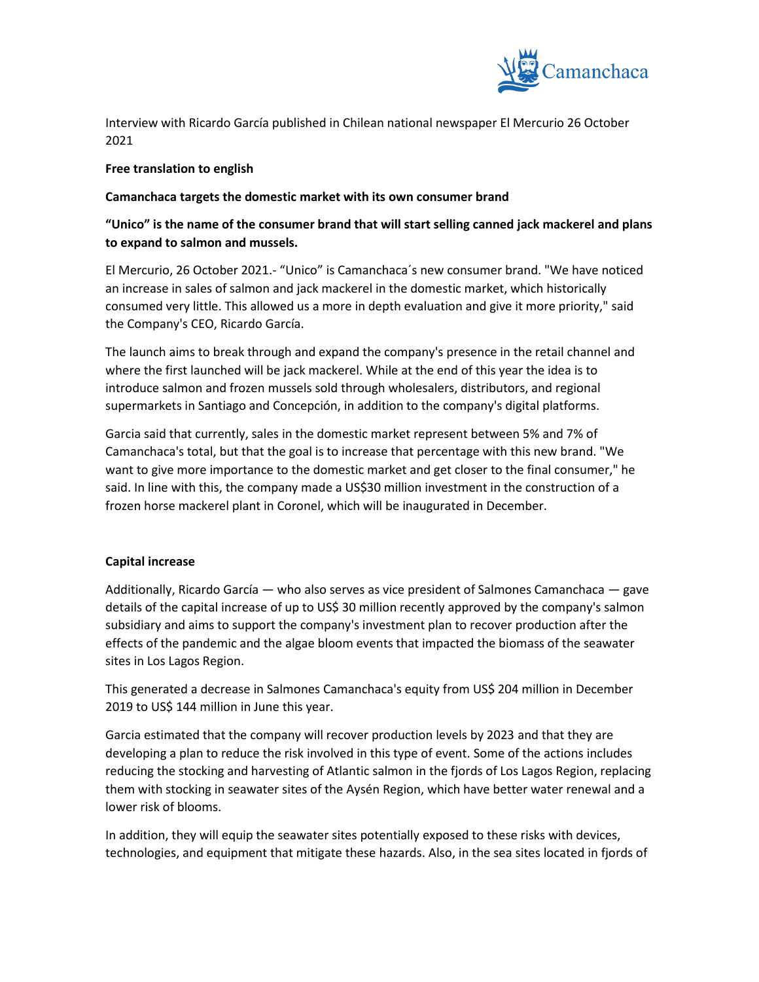

Interview with Ricardo García published in Chilean national newspaper El Mercurio 26 October 2021

## **Free translation to english**

## **Camanchaca targets the domestic market with its own consumer brand**

## **"Unico" is the name of the consumer brand that will start selling canned jack mackerel and plans to expand to salmon and mussels.**

El Mercurio, 26 October 2021.- "Unico" is Camanchaca´s new consumer brand. "We have noticed an increase in sales of salmon and jack mackerel in the domestic market, which historically consumed very little. This allowed us a more in depth evaluation and give it more priority," said the Company's CEO, Ricardo García.

The launch aims to break through and expand the company's presence in the retail channel and where the first launched will be jack mackerel. While at the end of this year the idea is to introduce salmon and frozen mussels sold through wholesalers, distributors, and regional supermarkets in Santiago and Concepción, in addition to the company's digital platforms.

Garcia said that currently, sales in the domestic market represent between 5% and 7% of Camanchaca's total, but that the goal is to increase that percentage with this new brand. "We want to give more importance to the domestic market and get closer to the final consumer," he said. In line with this, the company made a US\$30 million investment in the construction of a frozen horse mackerel plant in Coronel, which will be inaugurated in December.

## **Capital increase**

Additionally, Ricardo García — who also serves as vice president of Salmones Camanchaca — gave details of the capital increase of up to US\$ 30 million recently approved by the company's salmon subsidiary and aims to support the company's investment plan to recover production after the effects of the pandemic and the algae bloom events that impacted the biomass of the seawater sites in Los Lagos Region.

This generated a decrease in Salmones Camanchaca's equity from US\$ 204 million in December 2019 to US\$ 144 million in June this year.

Garcia estimated that the company will recover production levels by 2023 and that they are developing a plan to reduce the risk involved in this type of event. Some of the actions includes reducing the stocking and harvesting of Atlantic salmon in the fjords of Los Lagos Region, replacing them with stocking in seawater sites of the Aysén Region, which have better water renewal and a lower risk of blooms.

In addition, they will equip the seawater sites potentially exposed to these risks with devices, technologies, and equipment that mitigate these hazards. Also, in the sea sites located in fjords of